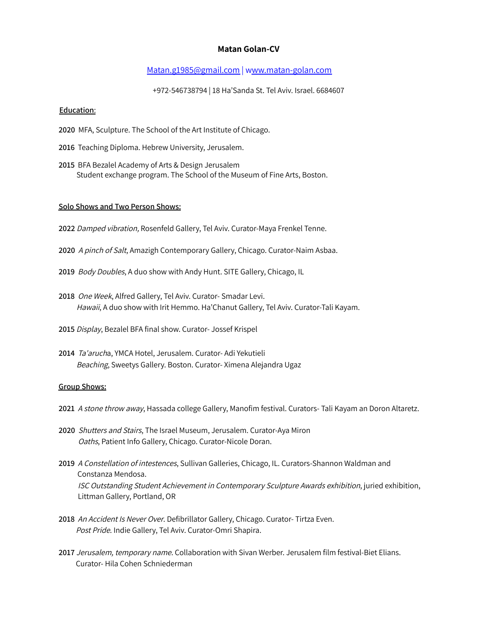# **Matan Golan-CV**

## Matan.g1985@gmail.com | www.matan-golan.com

+972-546738794 | 18 Ha'Sanda St. Tel Aviv. Israel. 6684607

### **Education**:

- **2020** MFA, Sculpture. The School of the Art Institute of Chicago.
- **2016** Teaching Diploma. Hebrew University, Jerusalem.
- **2015** BFA Bezalel Academy of Arts & Design Jerusalem Student exchange program. The School of the Museum of Fine Arts, Boston.

### **Solo Shows and Two Person Shows:**

- **2022** Damped vibration, Rosenfeld Gallery, Tel Aviv. Curator-Maya Frenkel Tenne.
- **2020** <sup>A</sup> pinch of Salt, Amazigh Contemporary Gallery, Chicago. Curator-Naim Asbaa.
- **2019** Body Doubles, A duo show with Andy Hunt. SITE Gallery, Chicago, IL
- **2018** One Week, Alfred Gallery, Tel Aviv. Curator- Smadar Levi. Hawaii, A duo show with Irit Hemmo. Ha'Chanut Gallery, Tel Aviv. Curator-Tali Kayam.
- **2015** Display, Bezalel BFA final show. Curator- Jossef Krispel
- **2014** Ta'arucha, YMCA Hotel, Jerusalem. Curator- Adi Yekutieli Beaching, Sweetys Gallery. Boston. Curator- Ximena Alejandra Ugaz

### **Group Shows:**

- **2021** <sup>A</sup> stone throw away, Hassada college Gallery, Manofim festival. Curators- Tali Kayam an Doron Altaretz.
- **2020** Shutters and Stairs, The Israel Museum, Jerusalem. Curator-Aya Miron Oaths, Patient Info Gallery, Chicago. Curator-Nicole Doran.
- **2019** <sup>A</sup> Constellation of intestences, Sullivan Galleries, Chicago, IL. Curators-Shannon Waldman and Constanza Mendosa. **2019** ISC Outstanding Student Achievement in Contemporary Sculpture Awards exhibition, juried exhibition, **2019** Littman Gallery, Portland, OR
- **2018** An Accident Is Never Over. Defibrillator Gallery, Chicago. Curator- Tirtza Even. Post Pride. Indie Gallery, Tel Aviv. Curator-Omri Shapira.
- **2017** Jerusalem, temporary name. Collaboration with Sivan Werber. Jerusalem film festival-Biet Elians. 2017 Curator- Hila Cohen Schniederman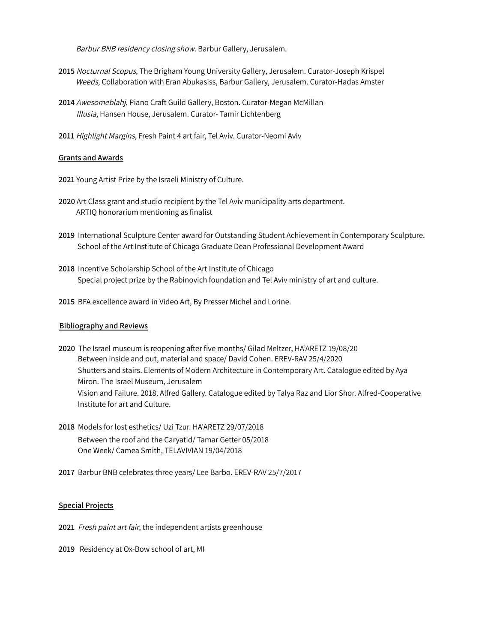Barbur BNB residency closing show. Barbur Gallery, Jerusalem.

- **2015** Nocturnal Scopus, The Brigham Young University Gallery, Jerusalem. Curator-Joseph Krispel Weeds, Collaboration with Eran Abukasiss, Barbur Gallery, Jerusalem. Curator-Hadas Amster
- **2014** Awesomeblahj, Piano Craft Guild Gallery, Boston. Curator-Megan McMillan **2014** Illusia, Hansen House, Jerusalem. Curator- Tamir Lichtenberg
- **2011** Highlight Margins, Fresh Paint 4 art fair, Tel Aviv. Curator-Neomi Aviv

### **Grants and Awards**

**2021** Young Artist Prize by the Israeli Ministry of Culture.

- **2020** Art Class grant and studio recipient by the Tel Aviv municipality arts department. ARTIQ honorarium mentioning as finalist
- **2019** International Sculpture Center award for Outstanding Student Achievement in Contemporary Sculpture. School of the Art Institute of Chicago Graduate Dean Professional Development Award
- **2018** Incentive Scholarship School of the Art Institute of Chicago Special project prize by the Rabinovich foundation and Tel Aviv ministry of art and culture.
- **2015** BFA excellence award in Video Art, By Presser Michel and Lorine.

### **Bibliography and Reviews**

- **2020** The Israel museum is reopening after five months/ Gilad Meltzer, HA'ARETZ 19/08/20 Between inside and out, material and space/ David Cohen. EREV-RAV 25/4/2020 Shutters and stairs. Elements of Modern Architecture in Contemporary Art. Catalogue edited by Aya Miron. The Israel Museum, Jerusalem 2020 Vision and Failure. 2018. Alfred Gallery. Catalogue edited by Talya Raz and Lior Shor. Alfred-Cooperative Institute for art and Culture.
- **2018** Models for lost esthetics/ Uzi Tzur. HA'ARETZ 29/07/2018 Between the roof and the Caryatid/ Tamar Getter 05/2018 One Week/ Camea Smith, TELAVIVIAN 19/04/2018
- **2017** Barbur BNB celebrates three years/ Lee Barbo. EREV-RAV 25/7/2017

#### **Special Projects**

- **2021** Fresh paint art fair, the independent artists greenhouse
- **2019** Residency at Ox-Bow school of art, MI